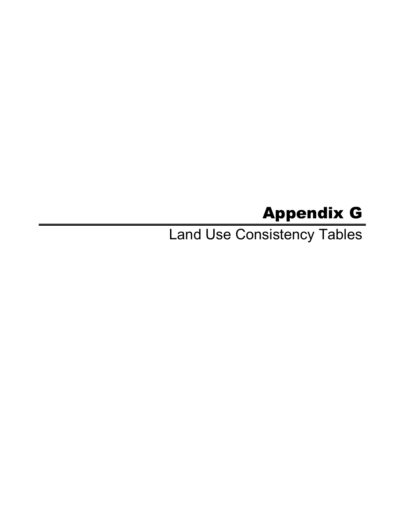# Appendix G

Land Use Consistency Tables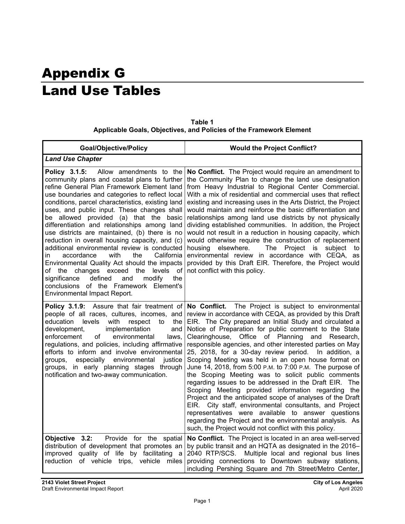# Appendix G Land Use Tables

|                                                                     | Table 1 |  |
|---------------------------------------------------------------------|---------|--|
| Applicable Goals, Objectives, and Policies of the Framework Element |         |  |

| <b>Goal/Objective/Policy</b>                                                                                                                                                                                                                                                                                                                                                                                                                                                                                                                                                                                                                                                                                                                                                                                             | <b>Would the Project Conflict?</b>                                                                                                                                                                                                                                                                                                                                                                                                                                                                                                                                                                                                                                                                                                                                                                                                                                                                                                                                                                                     |
|--------------------------------------------------------------------------------------------------------------------------------------------------------------------------------------------------------------------------------------------------------------------------------------------------------------------------------------------------------------------------------------------------------------------------------------------------------------------------------------------------------------------------------------------------------------------------------------------------------------------------------------------------------------------------------------------------------------------------------------------------------------------------------------------------------------------------|------------------------------------------------------------------------------------------------------------------------------------------------------------------------------------------------------------------------------------------------------------------------------------------------------------------------------------------------------------------------------------------------------------------------------------------------------------------------------------------------------------------------------------------------------------------------------------------------------------------------------------------------------------------------------------------------------------------------------------------------------------------------------------------------------------------------------------------------------------------------------------------------------------------------------------------------------------------------------------------------------------------------|
| <b>Land Use Chapter</b>                                                                                                                                                                                                                                                                                                                                                                                                                                                                                                                                                                                                                                                                                                                                                                                                  |                                                                                                                                                                                                                                                                                                                                                                                                                                                                                                                                                                                                                                                                                                                                                                                                                                                                                                                                                                                                                        |
| Policy 3.1.5:<br>Allow amendments to the<br>community plans and coastal plans to further<br>refine General Plan Framework Element land<br>use boundaries and categories to reflect local<br>conditions, parcel characteristics, existing land<br>uses, and public input. These changes shall<br>be allowed provided (a) that the basic<br>differentiation and relationships among land<br>use districts are maintained, (b) there is no<br>reduction in overall housing capacity, and (c)<br>additional environmental review is conducted<br>with<br>the<br>California<br>accordance<br>in.<br>Environmental Quality Act should the impacts<br>of the changes exceed<br>the<br>levels<br>οf<br>defined<br>modify<br>the<br>significance<br>and<br>conclusions of the Framework Element's<br>Environmental Impact Report. | No Conflict. The Project would require an amendment to<br>the Community Plan to change the land use designation<br>from Heavy Industrial to Regional Center Commercial.<br>With a mix of residential and commercial uses that reflect<br>existing and increasing uses in the Arts District, the Project<br>would maintain and reinforce the basic differentiation and<br>relationships among land use districts by not physically<br>dividing established communities. In addition, the Project<br>would not result in a reduction in housing capacity, which<br>would otherwise require the construction of replacement<br>housing elsewhere.<br>The<br>Project is<br>subject<br>to<br>environmental review in accordance with CEQA,<br>as<br>provided by this Draft EIR. Therefore, the Project would<br>not conflict with this policy.                                                                                                                                                                              |
| Policy 3.1.9: Assure that fair treatment of<br>people of all races, cultures, incomes, and<br>with<br>education<br>levels<br>respect<br>the<br>to<br>implementation<br>development,<br>and<br>enforcement<br>of<br>environmental<br>laws.<br>regulations, and policies, including affirmative<br>efforts to inform and involve environmental<br>especially<br>environmental<br>iustice<br>groups,<br>groups, in early planning stages through<br>notification and two-away communication.                                                                                                                                                                                                                                                                                                                                | No Conflict.<br>The Project is subject to environmental<br>review in accordance with CEQA, as provided by this Draft<br>EIR. The City prepared an Initial Study and circulated a<br>Notice of Preparation for public comment to the State<br>Clearinghouse, Office of Planning<br>and Research,<br>responsible agencies, and other interested parties on May<br>25, 2018, for a 30-day review period.<br>In addition, a<br>Scoping Meeting was held in an open house format on<br>June 14, 2018, from 5:00 P.M. to 7:00 P.M. The purpose of<br>the Scoping Meeting was to solicit public comments<br>regarding issues to be addressed in the Draft EIR. The<br>Scoping Meeting provided information regarding the<br>Project and the anticipated scope of analyses of the Draft<br>EIR. City staff, environmental consultants, and Project<br>representatives were available to answer questions<br>regarding the Project and the environmental analysis. As<br>such, the Project would not conflict with this policy. |
| Objective 3.2:<br>Provide for the spatial<br>distribution of development that promotes an<br>improved quality of life by facilitating<br>a<br>of vehicle trips, vehicle miles<br>reduction                                                                                                                                                                                                                                                                                                                                                                                                                                                                                                                                                                                                                               | No Conflict. The Project is located in an area well-served<br>by public transit and an HQTA as designated in the 2016-<br>2040 RTP/SCS. Multiple local and regional bus lines<br>providing connections to Downtown subway stations,<br>including Pershing Square and 7th Street/Metro Center,                                                                                                                                                                                                                                                                                                                                                                                                                                                                                                                                                                                                                                                                                                                          |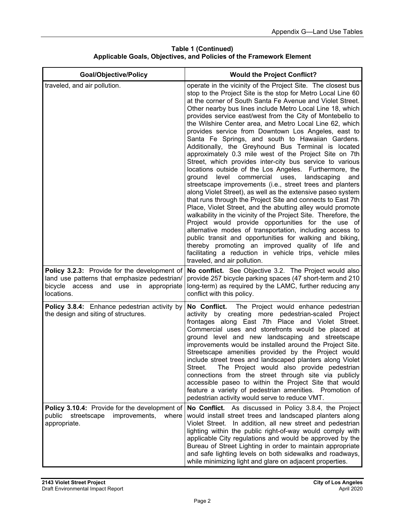| <b>Goal/Objective/Policy</b>                                                                                                                           | <b>Would the Project Conflict?</b>                                                                                                                                                                                                                                                                                                                                                                                                                                                                                                                                                                                                                                                                                                                                                                                                                                                                                                                                                                                                                                                                                                                                                                                                                                                                                                                                                                                                                        |
|--------------------------------------------------------------------------------------------------------------------------------------------------------|-----------------------------------------------------------------------------------------------------------------------------------------------------------------------------------------------------------------------------------------------------------------------------------------------------------------------------------------------------------------------------------------------------------------------------------------------------------------------------------------------------------------------------------------------------------------------------------------------------------------------------------------------------------------------------------------------------------------------------------------------------------------------------------------------------------------------------------------------------------------------------------------------------------------------------------------------------------------------------------------------------------------------------------------------------------------------------------------------------------------------------------------------------------------------------------------------------------------------------------------------------------------------------------------------------------------------------------------------------------------------------------------------------------------------------------------------------------|
| traveled, and air pollution.                                                                                                                           | operate in the vicinity of the Project Site. The closest bus<br>stop to the Project Site is the stop for Metro Local Line 60<br>at the corner of South Santa Fe Avenue and Violet Street.<br>Other nearby bus lines include Metro Local Line 18, which<br>provides service east/west from the City of Montebello to<br>the Wilshire Center area, and Metro Local Line 62, which<br>provides service from Downtown Los Angeles, east to<br>Santa Fe Springs, and south to Hawaiian Gardens.<br>Additionally, the Greyhound Bus Terminal is located<br>approximately 0.3 mile west of the Project Site on 7th<br>Street, which provides inter-city bus service to various<br>locations outside of the Los Angeles. Furthermore, the<br>level<br>commercial<br>uses, landscaping<br>ground<br>and<br>streetscape improvements (i.e., street trees and planters<br>along Violet Street), as well as the extensive paseo system<br>that runs through the Project Site and connects to East 7th<br>Place, Violet Street, and the abutting alley would promote<br>walkability in the vicinity of the Project Site. Therefore, the<br>Project would provide opportunities for the use of<br>alternative modes of transportation, including access to<br>public transit and opportunities for walking and biking,<br>thereby promoting an improved quality of life and<br>facilitating a reduction in vehicle trips, vehicle miles<br>traveled, and air pollution. |
| Policy 3.2.3: Provide for the development of<br>land use patterns that emphasize pedestrian/<br>bicycle access<br>and use in appropriate<br>locations. | No conflict. See Objective 3.2. The Project would also<br>provide 257 bicycle parking spaces (47 short-term and 210<br>long-term) as required by the LAMC, further reducing any<br>conflict with this policy.                                                                                                                                                                                                                                                                                                                                                                                                                                                                                                                                                                                                                                                                                                                                                                                                                                                                                                                                                                                                                                                                                                                                                                                                                                             |
| Policy 3.8.4: Enhance pedestrian activity by<br>the design and siting of structures.                                                                   | No Conflict.<br>The Project would enhance pedestrian<br>activity by creating more pedestrian-scaled Project<br>frontages along East 7th Place and Violet Street.<br>Commercial uses and storefronts would be placed at<br>ground level and new landscaping and streetscape<br>improvements would be installed around the Project Site.<br>Streetscape amenities provided by the Project would<br>include street trees and landscaped planters along Violet<br>The Project would also provide pedestrian<br>Street.<br>connections from the street through site via publicly<br>accessible paseo to within the Project Site that would<br>feature a variety of pedestrian amenities. Promotion of<br>pedestrian activity would serve to reduce VMT.                                                                                                                                                                                                                                                                                                                                                                                                                                                                                                                                                                                                                                                                                                        |
| Policy 3.10.4: Provide for the development of<br>public streetscape<br>improvements,<br>where<br>appropriate.                                          | No Conflict. As discussed in Policy 3.8.4, the Project<br>would install street trees and landscaped planters along<br>Violet Street. In addition, all new street and pedestrian<br>lighting within the public right-of-way would comply with<br>applicable City regulations and would be approved by the<br>Bureau of Street Lighting in order to maintain appropriate<br>and safe lighting levels on both sidewalks and roadways,<br>while minimizing light and glare on adjacent properties.                                                                                                                                                                                                                                                                                                                                                                                                                                                                                                                                                                                                                                                                                                                                                                                                                                                                                                                                                            |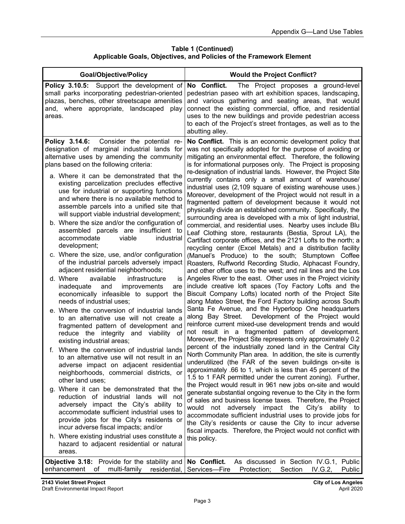| <b>Goal/Objective/Policy</b>                                                                                                                                                                                                                                                   | <b>Would the Project Conflict?</b>                                                                                                                                                                                                                                                                                                                                                                                                             |
|--------------------------------------------------------------------------------------------------------------------------------------------------------------------------------------------------------------------------------------------------------------------------------|------------------------------------------------------------------------------------------------------------------------------------------------------------------------------------------------------------------------------------------------------------------------------------------------------------------------------------------------------------------------------------------------------------------------------------------------|
| Policy 3.10.5: Support the development of<br>small parks incorporating pedestrian-oriented<br>plazas, benches, other streetscape amenities<br>and, where appropriate, landscaped play<br>areas.                                                                                | No Conflict.<br>The Project proposes a ground-level<br>pedestrian paseo with art exhibition spaces, landscaping,<br>and various gathering and seating areas, that would<br>connect the existing commercial, office, and residential<br>uses to the new buildings and provide pedestrian access<br>to each of the Project's street frontages, as well as to the<br>abutting alley.                                                              |
| Policy 3.14.6:<br>Consider the potential re-<br>designation of marginal industrial lands for<br>alternative uses by amending the community<br>plans based on the following criteria:<br>a. Where it can be demonstrated that the<br>existing parcelization precludes effective | No Conflict. This is an economic development policy that<br>was not specifically adopted for the purpose of avoiding or<br>mitigating an environmental effect. Therefore, the following<br>is for informational purposes only. The Project is proposing<br>re-designation of industrial lands. However, the Project Site<br>currently contains only a small amount of warehouse/<br>industrial uses (2,109 square of existing warehouse uses.) |
| use for industrial or supporting functions<br>and where there is no available method to<br>assemble parcels into a unified site that<br>will support viable industrial development;                                                                                            | Moreover, development of the Project would not result in a<br>fragmented pattern of development because it would not<br>physically divide an established community. Specifically, the                                                                                                                                                                                                                                                          |
| b. Where the size and/or the configuration of<br>assembled parcels are insufficient to<br>industrial<br>accommodate<br>viable<br>development;                                                                                                                                  | surrounding area is developed with a mix of light industrial,<br>commercial, and residential uses. Nearby uses include Blu<br>Leaf Clothing store, restaurants (Bestia, Sprout LA), the<br>Cartifact corporate offices, and the 2121 Lofts to the north; a<br>recycling center (Excel Metals) and a distribution facility                                                                                                                      |
| c. Where the size, use, and/or configuration<br>of the industrial parcels adversely impact<br>adjacent residential neighborhoods;                                                                                                                                              | (Manuel's Produce) to the south; Stumptown Coffee<br>Roasters, Ruffworld Recording Studio, Alphacast Foundry,<br>and other office uses to the west; and rail lines and the Los                                                                                                                                                                                                                                                                 |
| d. Where<br>available<br>infrastructure<br>is<br>and<br>improvements<br>inadequate<br>are<br>economically infeasible to support<br>the<br>needs of industrial uses;                                                                                                            | Angeles River to the east. Other uses in the Project vicinity<br>include creative loft spaces (Toy Factory Lofts and the<br>Biscuit Company Lofts) located north of the Project Site<br>along Mateo Street, the Ford Factory building across South                                                                                                                                                                                             |
| e. Where the conversion of industrial lands<br>to an alternative use will not create a<br>fragmented pattern of development and<br>reduce the integrity and viability<br>of<br>existing industrial areas;                                                                      | Santa Fe Avenue, and the Hyperloop One headquarters<br>along Bay Street. Development of the Project would<br>reinforce current mixed-use development trends and would<br>not result in a fragmented pattern of development.<br>Moreover, the Project Site represents only approximately 0.2                                                                                                                                                    |
| Where the conversion of industrial lands<br>f.<br>to an alternative use will not result in an<br>adverse impact on adjacent residential<br>neighborhoods, commercial districts, or<br>other land uses;                                                                         | percent of the industrially zoned land in the Central City<br>North Community Plan area. In addition, the site is currently<br>underutilized (the FAR of the seven buildings on-site is<br>approximately .66 to 1, which is less than 45 percent of the<br>1.5 to 1 FAR permitted under the current zoning). Further,                                                                                                                          |
| g. Where it can be demonstrated that the<br>reduction of industrial lands will not<br>adversely impact the City's ability to<br>accommodate sufficient industrial uses to<br>provide jobs for the City's residents or<br>incur adverse fiscal impacts; and/or                  | the Project would result in 961 new jobs on-site and would<br>generate substantial ongoing revenue to the City in the form<br>of sales and business license taxes. Therefore, the Project<br>would not adversely impact the City's ability to<br>accommodate sufficient industrial uses to provide jobs for<br>the City's residents or cause the City to incur adverse                                                                         |
| h. Where existing industrial uses constitute a<br>hazard to adjacent residential or natural<br>areas.                                                                                                                                                                          | fiscal impacts. Therefore, the Project would not conflict with<br>this policy.                                                                                                                                                                                                                                                                                                                                                                 |
| <b>Objective 3.18:</b> Provide for the stability and<br>enhancement of multi-family residential,                                                                                                                                                                               | No Conflict.<br>As discussed in Section IV.G.1, Public<br>Section IV.G.2,<br>Services-Fire<br>Protection;<br>Public                                                                                                                                                                                                                                                                                                                            |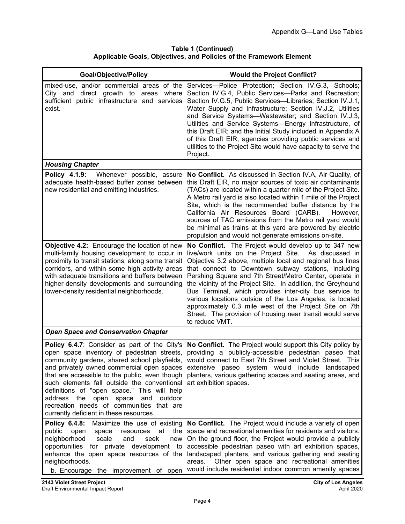| <b>Goal/Objective/Policy</b>                                                                                                                                                                                                                                                                                                                                                                                                                                                       | <b>Would the Project Conflict?</b>                                                                                                                                                                                                                                                                                                                                                                                                                                                                                                                                                                                          |
|------------------------------------------------------------------------------------------------------------------------------------------------------------------------------------------------------------------------------------------------------------------------------------------------------------------------------------------------------------------------------------------------------------------------------------------------------------------------------------|-----------------------------------------------------------------------------------------------------------------------------------------------------------------------------------------------------------------------------------------------------------------------------------------------------------------------------------------------------------------------------------------------------------------------------------------------------------------------------------------------------------------------------------------------------------------------------------------------------------------------------|
| mixed-use, and/or commercial areas of the<br>City and direct growth to areas where<br>sufficient public infrastructure and services<br>exist.                                                                                                                                                                                                                                                                                                                                      | Services---Police Protection; Section IV.G.3, Schools;<br>Section IV.G.4, Public Services-Parks and Recreation;<br>Section IV.G.5, Public Services-Libraries; Section IV.J.1,<br>Water Supply and Infrastructure; Section IV.J.2, Utilities<br>and Service Systems-Wastewater; and Section IV.J.3,<br>Utilities and Service Systems-Energy Infrastructure, of<br>this Draft EIR; and the Initial Study included in Appendix A<br>of this Draft EIR, agencies providing public services and<br>utilities to the Project Site would have capacity to serve the<br>Project.                                                    |
| <b>Housing Chapter</b>                                                                                                                                                                                                                                                                                                                                                                                                                                                             |                                                                                                                                                                                                                                                                                                                                                                                                                                                                                                                                                                                                                             |
| Policy 4.1.9:<br>Whenever possible, assure<br>adequate health-based buffer zones between<br>new residential and emitting industries.                                                                                                                                                                                                                                                                                                                                               | No Conflict. As discussed in Section IV.A, Air Quality, of<br>this Draft EIR, no major sources of toxic air contaminants<br>(TACs) are located within a quarter mile of the Project Site.<br>A Metro rail yard is also located within 1 mile of the Project<br>Site, which is the recommended buffer distance by the<br>California Air Resources Board (CARB).<br>However,<br>sources of TAC emissions from the Metro rail yard would<br>be minimal as trains at this yard are powered by electric<br>propulsion and would not generate emissions on-site.                                                                  |
| <b>Objective 4.2:</b> Encourage the location of new<br>multi-family housing development to occur in<br>proximity to transit stations, along some transit<br>corridors, and within some high activity areas<br>with adequate transitions and buffers between<br>higher-density developments and surrounding<br>lower-density residential neighborhoods.                                                                                                                             | No Conflict. The Project would develop up to 347 new<br>live/work units on the Project Site. As discussed in<br>Objective 3.2 above, multiple local and regional bus lines<br>that connect to Downtown subway stations, including<br>Pershing Square and 7th Street/Metro Center, operate in<br>the vicinity of the Project Site. In addition, the Greyhound<br>Bus Terminal, which provides inter-city bus service to<br>various locations outside of the Los Angeles, is located<br>approximately 0.3 mile west of the Project Site on 7th<br>Street. The provision of housing near transit would serve<br>to reduce VMT. |
| <b>Open Space and Conservation Chapter</b>                                                                                                                                                                                                                                                                                                                                                                                                                                         |                                                                                                                                                                                                                                                                                                                                                                                                                                                                                                                                                                                                                             |
| Policy 6.4.7: Consider as part of the City's<br>open space inventory of pedestrian streets,<br>community gardens, shared school playfields,<br>and privately owned commercial open spaces<br>that are accessible to the public, even though<br>such elements fall outside the conventional<br>definitions of "open space." This will help<br>address the<br>open<br>space<br>and<br>outdoor<br>recreation needs of communities that are<br>currently deficient in these resources. | No Conflict. The Project would support this City policy by<br>providing a publicly-accessible pedestrian paseo that<br>would connect to East 7th Street and Violet Street. This<br>extensive paseo system would include landscaped<br>planters, various gathering spaces and seating areas, and<br>art exhibition spaces.                                                                                                                                                                                                                                                                                                   |
| Policy 6.4.8:<br>Maximize the use of existing<br>public<br>the<br>open<br>space<br>resources<br>at<br>neighborhood<br>scale<br>seek<br>and<br>new<br>opportunities for private development<br>to<br>enhance the open space resources of the<br>neighborhoods.<br>b. Encourage the improvement of open                                                                                                                                                                              | No Conflict. The Project would include a variety of open<br>space and recreational amenities for residents and visitors.<br>On the ground floor, the Project would provide a publicly<br>accessible pedestrian paseo with art exhibition spaces,<br>landscaped planters, and various gathering and seating<br>Other open space and recreational amenities<br>areas.<br>would include residential indoor common amenity spaces                                                                                                                                                                                               |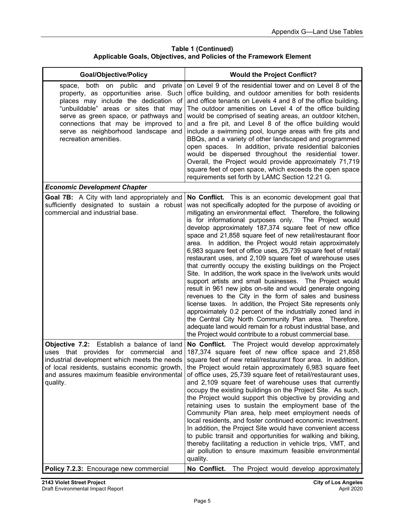| <b>Goal/Objective/Policy</b>                                                                                                                                                                                                                                                                                                | <b>Would the Project Conflict?</b>                                                                                                                                                                                                                                                                                                                                                                                                                                                                                                                                                                                                                                                                                                                                                                                                                                                                                                                                                                                                                                                                                                                                                                            |
|-----------------------------------------------------------------------------------------------------------------------------------------------------------------------------------------------------------------------------------------------------------------------------------------------------------------------------|---------------------------------------------------------------------------------------------------------------------------------------------------------------------------------------------------------------------------------------------------------------------------------------------------------------------------------------------------------------------------------------------------------------------------------------------------------------------------------------------------------------------------------------------------------------------------------------------------------------------------------------------------------------------------------------------------------------------------------------------------------------------------------------------------------------------------------------------------------------------------------------------------------------------------------------------------------------------------------------------------------------------------------------------------------------------------------------------------------------------------------------------------------------------------------------------------------------|
| public<br>both<br>and<br>private<br>on<br>space,<br>property, as opportunities arise. Such<br>places may include the dedication of<br>"unbuildable" areas or sites that may<br>serve as green space, or pathways and<br>connections that may be improved to<br>serve as neighborhood landscape and<br>recreation amenities. | on Level 9 of the residential tower and on Level 8 of the<br>office building, and outdoor amenities for both residents<br>and office tenants on Levels 4 and 8 of the office building.<br>The outdoor amenities on Level 4 of the office building<br>would be comprised of seating areas, an outdoor kitchen,<br>and a fire pit, and Level 8 of the office building would<br>include a swimming pool, lounge areas with fire pits and<br>BBQs, and a variety of other landscaped and programmed<br>open spaces. In addition, private residential balconies<br>would be dispersed throughout the residential tower.<br>Overall, the Project would provide approximately 71,719<br>square feet of open space, which exceeds the open space<br>requirements set forth by LAMC Section 12.21 G.                                                                                                                                                                                                                                                                                                                                                                                                                   |
| <b>Economic Development Chapter</b>                                                                                                                                                                                                                                                                                         |                                                                                                                                                                                                                                                                                                                                                                                                                                                                                                                                                                                                                                                                                                                                                                                                                                                                                                                                                                                                                                                                                                                                                                                                               |
| <b>Goal 7B:</b> A City with land appropriately and<br>sufficiently designated to sustain a robust<br>commercial and industrial base.                                                                                                                                                                                        | No Conflict. This is an economic development goal that<br>was not specifically adopted for the purpose of avoiding or<br>mitigating an environmental effect. Therefore, the following<br>is for informational purposes only. The Project would<br>develop approximately 187,374 square feet of new office<br>space and 21,858 square feet of new retail/restaurant floor<br>area. In addition, the Project would retain approximately<br>6,983 square feet of office uses, 25,739 square feet of retail/<br>restaurant uses, and 2,109 square feet of warehouse uses<br>that currently occupy the existing buildings on the Project<br>Site. In addition, the work space in the live/work units would<br>support artists and small businesses. The Project would<br>result in 961 new jobs on-site and would generate ongoing<br>revenues to the City in the form of sales and business<br>license taxes. In addition, the Project Site represents only<br>approximately 0.2 percent of the industrially zoned land in<br>the Central City North Community Plan area. Therefore,<br>adequate land would remain for a robust industrial base, and<br>the Project would contribute to a robust commercial base. |
| Objective 7.2:<br>Establish a balance of land<br>uses that provides for commercial<br>and<br>industrial development which meets the needs<br>of local residents, sustains economic growth,<br>and assures maximum feasible environmental<br>quality.                                                                        | No Conflict. The Project would develop approximately<br>187,374 square feet of new office space and 21,858<br>square feet of new retail/restaurant floor area. In addition,<br>the Project would retain approximately 6,983 square feet<br>of office uses, 25,739 square feet of retail/restaurant uses,<br>and 2,109 square feet of warehouse uses that currently<br>occupy the existing buildings on the Project Site. As such,<br>the Project would support this objective by providing and<br>retaining uses to sustain the employment base of the<br>Community Plan area, help meet employment needs of<br>local residents, and foster continued economic investment.<br>In addition, the Project Site would have convenient access<br>to public transit and opportunities for walking and biking,<br>thereby facilitating a reduction in vehicle trips, VMT, and<br>air pollution to ensure maximum feasible environmental<br>quality.                                                                                                                                                                                                                                                                  |
| Policy 7.2.3: Encourage new commercial                                                                                                                                                                                                                                                                                      | No Conflict.<br>The Project would develop approximately                                                                                                                                                                                                                                                                                                                                                                                                                                                                                                                                                                                                                                                                                                                                                                                                                                                                                                                                                                                                                                                                                                                                                       |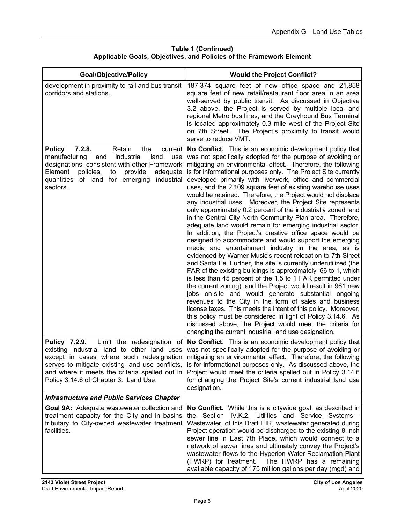| Table 1 (Continued)                                                 |
|---------------------------------------------------------------------|
| Applicable Goals, Objectives, and Policies of the Framework Element |

| <b>Goal/Objective/Policy</b>                                                                                                                                                                                                                                                         | <b>Would the Project Conflict?</b>                                                                                                                                                                                                                                                                                                                                                                                                                                                                                                                                                                                                                                                                                                                                                                                                                                                                                                                                                                                                                                                                                                                                                                                                                                                                                                                                                                                                                                                                                                                                                                      |
|--------------------------------------------------------------------------------------------------------------------------------------------------------------------------------------------------------------------------------------------------------------------------------------|---------------------------------------------------------------------------------------------------------------------------------------------------------------------------------------------------------------------------------------------------------------------------------------------------------------------------------------------------------------------------------------------------------------------------------------------------------------------------------------------------------------------------------------------------------------------------------------------------------------------------------------------------------------------------------------------------------------------------------------------------------------------------------------------------------------------------------------------------------------------------------------------------------------------------------------------------------------------------------------------------------------------------------------------------------------------------------------------------------------------------------------------------------------------------------------------------------------------------------------------------------------------------------------------------------------------------------------------------------------------------------------------------------------------------------------------------------------------------------------------------------------------------------------------------------------------------------------------------------|
| development in proximity to rail and bus transit<br>corridors and stations.                                                                                                                                                                                                          | 187,374 square feet of new office space and 21,858<br>square feet of new retail/restaurant floor area in an area<br>well-served by public transit. As discussed in Objective<br>3.2 above, the Project is served by multiple local and<br>regional Metro bus lines, and the Greyhound Bus Terminal<br>is located approximately 0.3 mile west of the Project Site<br>on 7th Street. The Project's proximity to transit would<br>serve to reduce VMT.                                                                                                                                                                                                                                                                                                                                                                                                                                                                                                                                                                                                                                                                                                                                                                                                                                                                                                                                                                                                                                                                                                                                                     |
| 7.2.8.<br>Retain<br>the<br><b>Policy</b><br>current<br>industrial<br>manufacturing<br>land<br>and<br>use<br>designations, consistent with other Framework<br>Element<br>policies,<br>provide<br>adequate<br>to<br>quantities of land for emerging<br>industrial<br>sectors.          | No Conflict. This is an economic development policy that<br>was not specifically adopted for the purpose of avoiding or<br>mitigating an environmental effect. Therefore, the following<br>is for informational purposes only. The Project Site currently<br>developed primarily with live/work, office and commercial<br>uses, and the 2,109 square feet of existing warehouse uses<br>would be retained. Therefore, the Project would not displace<br>any industrial uses. Moreover, the Project Site represents<br>only approximately 0.2 percent of the industrially zoned land<br>in the Central City North Community Plan area. Therefore,<br>adequate land would remain for emerging industrial sector.<br>In addition, the Project's creative office space would be<br>designed to accommodate and would support the emerging<br>media and entertainment industry in the area, as is<br>evidenced by Warner Music's recent relocation to 7th Street<br>and Santa Fe. Further, the site is currently underutilized (the<br>FAR of the existing buildings is approximately .66 to 1, which<br>is less than 45 percent of the 1.5 to 1 FAR permitted under<br>the current zoning), and the Project would result in 961 new<br>jobs on-site and would generate substantial ongoing<br>revenues to the City in the form of sales and business<br>license taxes. This meets the intent of this policy. Moreover,<br>this policy must be considered in light of Policy 3.14.6. As<br>discussed above, the Project would meet the criteria for<br>changing the current industrial land use designation. |
| Policy 7.2.9.<br>Limit the redesignation of<br>existing industrial land to other land uses<br>except in cases where such redesignation<br>serves to mitigate existing land use conflicts,<br>and where it meets the criteria spelled out in<br>Policy 3.14.6 of Chapter 3: Land Use. | No Conflict. This is an economic development policy that<br>was not specifically adopted for the purpose of avoiding or<br>mitigating an environmental effect. Therefore, the following<br>is for informational purposes only. As discussed above, the<br>Project would meet the criteria spelled out in Policy 3.14.6<br>for changing the Project Site's current industrial land use<br>designation.                                                                                                                                                                                                                                                                                                                                                                                                                                                                                                                                                                                                                                                                                                                                                                                                                                                                                                                                                                                                                                                                                                                                                                                                   |
| <b>Infrastructure and Public Services Chapter</b>                                                                                                                                                                                                                                    |                                                                                                                                                                                                                                                                                                                                                                                                                                                                                                                                                                                                                                                                                                                                                                                                                                                                                                                                                                                                                                                                                                                                                                                                                                                                                                                                                                                                                                                                                                                                                                                                         |
| Goal 9A: Adequate wastewater collection and<br>treatment capacity for the City and in basins<br>tributary to City-owned wastewater treatment<br>facilities.                                                                                                                          | No Conflict. While this is a citywide goal, as described in<br>the Section IV.K.2, Utilities and Service Systems-<br>Wastewater, of this Draft EIR, wastewater generated during<br>Project operation would be discharged to the existing 8-inch<br>sewer line in East 7th Place, which would connect to a<br>network of sewer lines and ultimately convey the Project's<br>wastewater flows to the Hyperion Water Reclamation Plant<br>(HWRP) for treatment.<br>The HWRP has a remaining<br>available capacity of 175 million gallons per day (mgd) and                                                                                                                                                                                                                                                                                                                                                                                                                                                                                                                                                                                                                                                                                                                                                                                                                                                                                                                                                                                                                                                 |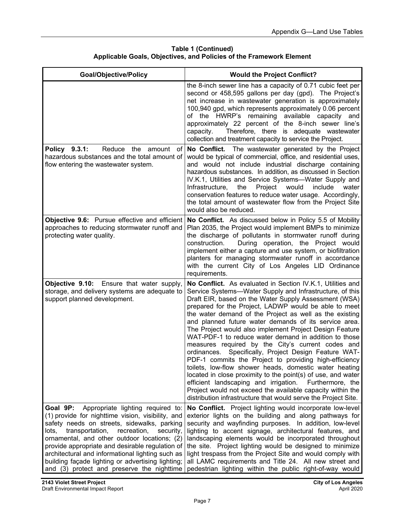| <b>Goal/Objective/Policy</b>                                                                                                                                                                                                                                                                                                                                                                                                                                     | <b>Would the Project Conflict?</b>                                                                                                                                                                                                                                                                                                                                                                                                                                                                                                                                                                                                                                                                                                                                                                                                                                                                                                                                                 |
|------------------------------------------------------------------------------------------------------------------------------------------------------------------------------------------------------------------------------------------------------------------------------------------------------------------------------------------------------------------------------------------------------------------------------------------------------------------|------------------------------------------------------------------------------------------------------------------------------------------------------------------------------------------------------------------------------------------------------------------------------------------------------------------------------------------------------------------------------------------------------------------------------------------------------------------------------------------------------------------------------------------------------------------------------------------------------------------------------------------------------------------------------------------------------------------------------------------------------------------------------------------------------------------------------------------------------------------------------------------------------------------------------------------------------------------------------------|
|                                                                                                                                                                                                                                                                                                                                                                                                                                                                  | the 8-inch sewer line has a capacity of 0.71 cubic feet per<br>second or 458,595 gallons per day (gpd). The Project's<br>net increase in wastewater generation is approximately<br>100,940 gpd, which represents approximately 0.06 percent<br>of the HWRP's remaining available capacity and<br>approximately 22 percent of the 8-inch sewer line's<br>capacity.<br>Therefore, there is adequate wastewater<br>collection and treatment capacity to service the Project.                                                                                                                                                                                                                                                                                                                                                                                                                                                                                                          |
| Policy 9.3.1:<br>Reduce<br>the<br>amount<br>of<br>hazardous substances and the total amount of<br>flow entering the wastewater system.                                                                                                                                                                                                                                                                                                                           | No Conflict. The wastewater generated by the Project<br>would be typical of commercial, office, and residential uses,<br>and would not include industrial discharge containing<br>hazardous substances. In addition, as discussed in Section<br>IV.K.1, Utilities and Service Systems-Water Supply and<br>Infrastructure,<br>would<br>include<br>the<br>Project<br>water<br>conservation features to reduce water usage. Accordingly,<br>the total amount of wastewater flow from the Project Site<br>would also be reduced.                                                                                                                                                                                                                                                                                                                                                                                                                                                       |
| <b>Objective 9.6:</b> Pursue effective and efficient<br>approaches to reducing stormwater runoff and<br>protecting water quality.                                                                                                                                                                                                                                                                                                                                | No Conflict. As discussed below in Policy 5.5 of Mobility<br>Plan 2035, the Project would implement BMPs to minimize<br>the discharge of pollutants in stormwater runoff during<br>construction.<br>During operation, the Project would<br>implement either a capture and use system, or biofiltration<br>planters for managing stormwater runoff in accordance<br>with the current City of Los Angeles LID Ordinance<br>requirements.                                                                                                                                                                                                                                                                                                                                                                                                                                                                                                                                             |
| Objective 9.10: Ensure that water supply,<br>storage, and delivery systems are adequate to<br>support planned development.                                                                                                                                                                                                                                                                                                                                       | No Conflict. As evaluated in Section IV.K.1, Utilities and<br>Service Systems-Water Supply and Infrastructure, of this<br>Draft EIR, based on the Water Supply Assessment (WSA)<br>prepared for the Project, LADWP would be able to meet<br>the water demand of the Project as well as the existing<br>and planned future water demands of its service area.<br>The Project would also implement Project Design Feature<br>WAT-PDF-1 to reduce water demand in addition to those<br>measures required by the City's current codes and<br>Specifically, Project Design Feature WAT-<br>ordinances.<br>PDF-1 commits the Project to providing high-efficiency<br>toilets, low-flow shower heads, domestic water heating<br>located in close proximity to the point(s) of use, and water<br>efficient landscaping and irrigation.<br>Furthermore, the<br>Project would not exceed the available capacity within the<br>distribution infrastructure that would serve the Project Site. |
| Goal 9P:<br>Appropriate lighting required to:<br>(1) provide for nighttime vision, visibility, and<br>safety needs on streets, sidewalks, parking<br>transportation, recreation,<br>security,<br>lots.<br>ornamental, and other outdoor locations; (2)<br>provide appropriate and desirable regulation of<br>architectural and informational lighting such as<br>building façade lighting or advertising lighting;<br>and (3) protect and preserve the nighttime | No Conflict. Project lighting would incorporate low-level<br>exterior lights on the building and along pathways for<br>security and wayfinding purposes. In addition, low-level<br>lighting to accent signage, architectural features, and<br>landscaping elements would be incorporated throughout<br>the site. Project lighting would be designed to minimize<br>light trespass from the Project Site and would comply with<br>all LAMC requirements and Title 24. All new street and<br>pedestrian lighting within the public right-of-way would                                                                                                                                                                                                                                                                                                                                                                                                                                |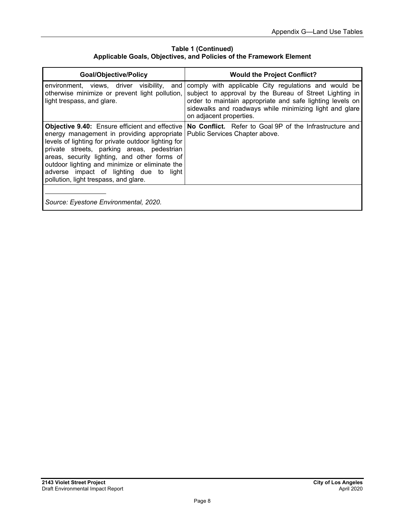| <b>Goal/Objective/Policy</b>                                                                                                                                                                                                                                                                                                                                                                   | <b>Would the Project Conflict?</b>                                                                                                                                                                                                                                 |
|------------------------------------------------------------------------------------------------------------------------------------------------------------------------------------------------------------------------------------------------------------------------------------------------------------------------------------------------------------------------------------------------|--------------------------------------------------------------------------------------------------------------------------------------------------------------------------------------------------------------------------------------------------------------------|
| environment, views, driver visibility, and<br>otherwise minimize or prevent light pollution,<br>light trespass, and glare.                                                                                                                                                                                                                                                                     | comply with applicable City regulations and would be<br>subject to approval by the Bureau of Street Lighting in<br>order to maintain appropriate and safe lighting levels on<br>sidewalks and roadways while minimizing light and glare<br>on adjacent properties. |
| <b>Objective 9.40:</b> Ensure efficient and effective<br>energy management in providing appropriate<br>levels of lighting for private outdoor lighting for<br>private streets, parking areas, pedestrian<br>areas, security lighting, and other forms of<br>outdoor lighting and minimize or eliminate the<br>adverse impact of lighting due to light<br>pollution, light trespass, and glare. | No Conflict. Refer to Goal 9P of the Infrastructure and<br>Public Services Chapter above.                                                                                                                                                                          |
| Source: Eyestone Environmental, 2020.                                                                                                                                                                                                                                                                                                                                                          |                                                                                                                                                                                                                                                                    |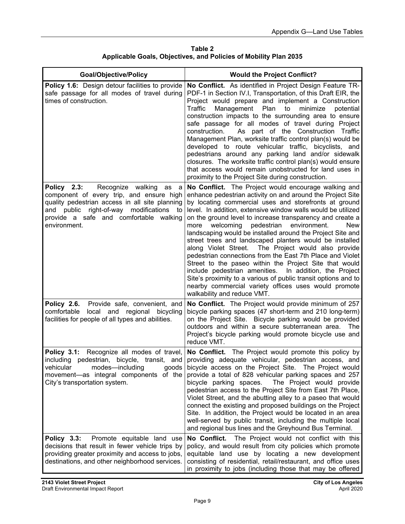**Table 2 Applicable Goals, Objectives, and Policies of Mobility Plan 2035** 

| <b>Goal/Objective/Policy</b>                                                                                                                                                                                                                       | <b>Would the Project Conflict?</b>                                                                                                                                                                                                                                                                                                                                                                                                                                                                                                                                                                                                                                                                                                                                                                                                                                                                 |
|----------------------------------------------------------------------------------------------------------------------------------------------------------------------------------------------------------------------------------------------------|----------------------------------------------------------------------------------------------------------------------------------------------------------------------------------------------------------------------------------------------------------------------------------------------------------------------------------------------------------------------------------------------------------------------------------------------------------------------------------------------------------------------------------------------------------------------------------------------------------------------------------------------------------------------------------------------------------------------------------------------------------------------------------------------------------------------------------------------------------------------------------------------------|
| <b>Policy 1.6:</b> Design detour facilities to provide<br>safe passage for all modes of travel during<br>times of construction.                                                                                                                    | No Conflict. As identified in Project Design Feature TR-<br>PDF-1 in Section IV.I, Transportation, of this Draft EIR, the<br>Project would prepare and implement a Construction<br>Traffic<br>Management<br>Plan<br>to<br>minimize<br>potential<br>construction impacts to the surrounding area to ensure<br>safe passage for all modes of travel during Project<br>As part of the Construction Traffic<br>construction.<br>Management Plan, worksite traffic control plan(s) would be<br>developed to route vehicular traffic, bicyclists, and<br>pedestrians around any parking land and/or sidewalk<br>closures. The worksite traffic control plan(s) would ensure<br>that access would remain unobstructed for land uses in<br>proximity to the Project Site during construction.                                                                                                              |
| Recognize walking<br>Policy 2.3:<br>as<br>a<br>component of every trip, and ensure high<br>quality pedestrian access in all site planning<br>and public right-of-way modifications<br>to<br>provide a safe and comfortable walking<br>environment. | No Conflict. The Project would encourage walking and<br>enhance pedestrian activity on and around the Project Site<br>by locating commercial uses and storefronts at ground<br>level. In addition, extensive window walls would be utilized<br>on the ground level to increase transparency and create a<br>pedestrian<br>environment.<br>more<br>welcoming<br>New<br>landscaping would be installed around the Project Site and<br>street trees and landscaped planters would be installed<br>along Violet Street.<br>The Project would also provide<br>pedestrian connections from the East 7th Place and Violet<br>Street to the paseo within the Project Site that would<br>include pedestrian amenities.<br>In addition, the Project<br>Site's proximity to a various of public transit options and to<br>nearby commercial variety offices uses would promote<br>walkability and reduce VMT. |
| Provide safe, convenient, and<br>Policy 2.6.<br>local and regional bicycling<br>comfortable<br>facilities for people of all types and abilities.                                                                                                   | No Conflict. The Project would provide minimum of 257<br>bicycle parking spaces (47 short-term and 210 long-term)<br>on the Project Site. Bicycle parking would be provided<br>outdoors and within a secure subterranean area. The<br>Project's bicycle parking would promote bicycle use and<br>reduce VMT.                                                                                                                                                                                                                                                                                                                                                                                                                                                                                                                                                                                       |
| Policy 3.1: Recognize all modes of travel,<br>including pedestrian, bicycle, transit, and<br>vehicular<br>modes-including<br>goods<br>movement—as integral components of the<br>City's transportation system.                                      | No Conflict. The Project would promote this policy by<br>providing adequate vehicular, pedestrian access, and<br>bicycle access on the Project Site. The Project would<br>provide a total of 828 vehicular parking spaces and 257<br>The Project would provide<br>bicycle parking spaces.<br>pedestrian access to the Project Site from East 7th Place,<br>Violet Street, and the abutting alley to a paseo that would<br>connect the existing and proposed buildings on the Project<br>Site. In addition, the Project would be located in an area<br>well-served by public transit, including the multiple local<br>and regional bus lines and the Greyhound Bus Terminal.                                                                                                                                                                                                                        |
| Policy 3.3:<br>Promote equitable land use<br>decisions that result in fewer vehicle trips by<br>providing greater proximity and access to jobs,<br>destinations, and other neighborhood services.                                                  | The Project would not conflict with this<br>No Conflict.<br>policy, and would result from city policies which promote<br>equitable land use by locating a new development<br>consisting of residential, retail/restaurant, and office uses<br>in proximity to jobs (including those that may be offered                                                                                                                                                                                                                                                                                                                                                                                                                                                                                                                                                                                            |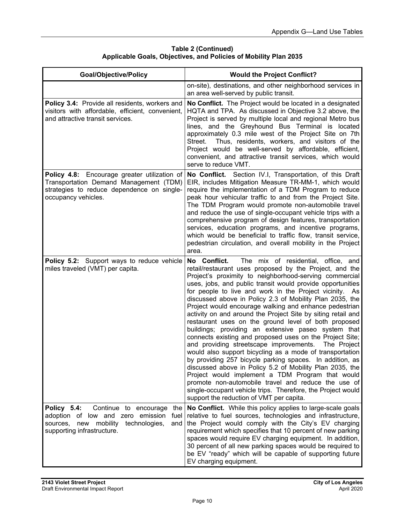| <b>Table 2 (Continued)</b>                                       |
|------------------------------------------------------------------|
| Applicable Goals, Objectives, and Policies of Mobility Plan 2035 |

| <b>Goal/Objective/Policy</b>                                                                                                                                            | <b>Would the Project Conflict?</b>                                                                                                                                                                                                                                                                                                                                                                                                                                                                                                                                                                                                                                                                                                                                                                                                                                                                                                                                                                                                                                                                                                     |
|-------------------------------------------------------------------------------------------------------------------------------------------------------------------------|----------------------------------------------------------------------------------------------------------------------------------------------------------------------------------------------------------------------------------------------------------------------------------------------------------------------------------------------------------------------------------------------------------------------------------------------------------------------------------------------------------------------------------------------------------------------------------------------------------------------------------------------------------------------------------------------------------------------------------------------------------------------------------------------------------------------------------------------------------------------------------------------------------------------------------------------------------------------------------------------------------------------------------------------------------------------------------------------------------------------------------------|
|                                                                                                                                                                         | on-site), destinations, and other neighborhood services in<br>an area well-served by public transit.                                                                                                                                                                                                                                                                                                                                                                                                                                                                                                                                                                                                                                                                                                                                                                                                                                                                                                                                                                                                                                   |
| Policy 3.4: Provide all residents, workers and<br>visitors with affordable, efficient, convenient,<br>and attractive transit services.                                  | No Conflict. The Project would be located in a designated<br>HQTA and TPA. As discussed in Objective 3.2 above, the<br>Project is served by multiple local and regional Metro bus<br>lines, and the Greyhound Bus Terminal is located<br>approximately 0.3 mile west of the Project Site on 7th<br>Thus, residents, workers, and visitors of the<br>Street.<br>Project would be well-served by affordable, efficient,<br>convenient, and attractive transit services, which would<br>serve to reduce VMT.                                                                                                                                                                                                                                                                                                                                                                                                                                                                                                                                                                                                                              |
| Policy 4.8: Encourage greater utilization of<br>Transportation Demand Management (TDM)<br>strategies to reduce dependence on single-<br>occupancy vehicles.             | No Conflict. Section IV.I, Transportation, of this Draft<br>EIR, includes Mitigation Measure TR-MM-1, which would<br>require the implementation of a TDM Program to reduce<br>peak hour vehicular traffic to and from the Project Site.<br>The TDM Program would promote non-automobile travel<br>and reduce the use of single-occupant vehicle trips with a<br>comprehensive program of design features, transportation<br>services, education programs, and incentive programs,<br>which would be beneficial to traffic flow, transit service,<br>pedestrian circulation, and overall mobility in the Project<br>area.                                                                                                                                                                                                                                                                                                                                                                                                                                                                                                               |
| Policy 5.2: Support ways to reduce vehicle<br>miles traveled (VMT) per capita.                                                                                          | No Conflict.<br>The mix of residential, office, and<br>retail/restaurant uses proposed by the Project, and the<br>Project's proximity to neighborhood-serving commercial<br>uses, jobs, and public transit would provide opportunities<br>for people to live and work in the Project vicinity. As<br>discussed above in Policy 2.3 of Mobility Plan 2035, the<br>Project would encourage walking and enhance pedestrian<br>activity on and around the Project Site by siting retail and<br>restaurant uses on the ground level of both proposed<br>buildings; providing an extensive paseo system that<br>connects existing and proposed uses on the Project Site;<br>and providing streetscape improvements.<br>The Project<br>would also support bicycling as a mode of transportation<br>by providing 257 bicycle parking spaces. In addition, as<br>discussed above in Policy 5.2 of Mobility Plan 2035, the<br>Project would implement a TDM Program that would<br>promote non-automobile travel and reduce the use of<br>single-occupant vehicle trips. Therefore, the Project would<br>support the reduction of VMT per capita. |
| Continue to encourage<br>Policy 5.4:<br>the<br>adoption of low and zero emission<br>fuel<br>new mobility technologies,<br>sources,<br>and<br>supporting infrastructure. | No Conflict. While this policy applies to large-scale goals<br>relative to fuel sources, technologies and infrastructure,<br>the Project would comply with the City's EV charging<br>requirement which specifies that 10 percent of new parking<br>spaces would require EV charging equipment. In addition,<br>30 percent of all new parking spaces would be required to<br>be EV "ready" which will be capable of supporting future<br>EV charging equipment.                                                                                                                                                                                                                                                                                                                                                                                                                                                                                                                                                                                                                                                                         |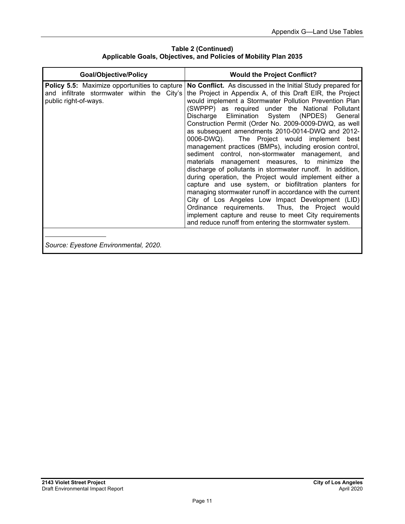**Table 2 (Continued) Applicable Goals, Objectives, and Policies of Mobility Plan 2035** 

| <b>Goal/Objective/Policy</b>                                                                                                 | <b>Would the Project Conflict?</b>                                                                                                                                                                                                                                                                                                                                                                                                                                                                                                                                                                                                                                                                                                                                                                                                                                                                                                                                                                                                                                                          |
|------------------------------------------------------------------------------------------------------------------------------|---------------------------------------------------------------------------------------------------------------------------------------------------------------------------------------------------------------------------------------------------------------------------------------------------------------------------------------------------------------------------------------------------------------------------------------------------------------------------------------------------------------------------------------------------------------------------------------------------------------------------------------------------------------------------------------------------------------------------------------------------------------------------------------------------------------------------------------------------------------------------------------------------------------------------------------------------------------------------------------------------------------------------------------------------------------------------------------------|
| <b>Policy 5.5:</b> Maximize opportunities to capture<br>and infiltrate stormwater within the City's<br>public right-of-ways. | No Conflict. As discussed in the Initial Study prepared for<br>the Project in Appendix A, of this Draft EIR, the Project<br>would implement a Stormwater Pollution Prevention Plan<br>(SWPPP) as required under the National Pollutant<br>Discharge Elimination System (NPDES) General<br>Construction Permit (Order No. 2009-0009-DWQ, as well<br>as subsequent amendments 2010-0014-DWQ and 2012-<br>0006-DWQ). The Project would implement best<br>management practices (BMPs), including erosion control,<br>sediment control, non-stormwater management, and<br>materials management measures, to minimize the<br>discharge of pollutants in stormwater runoff. In addition,<br>during operation, the Project would implement either a<br>capture and use system, or biofiltration planters for<br>managing stormwater runoff in accordance with the current<br>City of Los Angeles Low Impact Development (LID)<br>Ordinance requirements. Thus, the Project would<br>implement capture and reuse to meet City requirements<br>and reduce runoff from entering the stormwater system. |
| Source: Eyestone Environmental, 2020.                                                                                        |                                                                                                                                                                                                                                                                                                                                                                                                                                                                                                                                                                                                                                                                                                                                                                                                                                                                                                                                                                                                                                                                                             |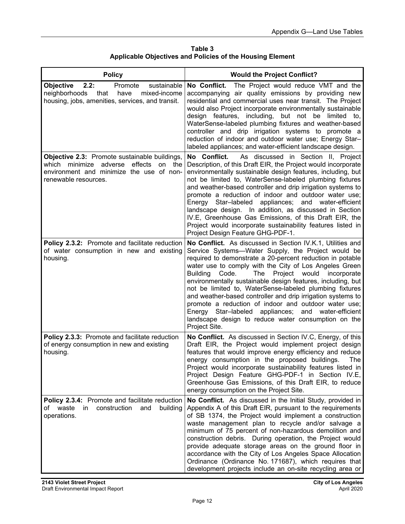| Table 3                                                          |
|------------------------------------------------------------------|
| <b>Applicable Objectives and Policies of the Housing Element</b> |

| <b>Policy</b>                                                                                                                                                    | <b>Would the Project Conflict?</b>                                                                                                                                                                                                                                                                                                                                                                                                                                                                                                                                                                                                                                                         |
|------------------------------------------------------------------------------------------------------------------------------------------------------------------|--------------------------------------------------------------------------------------------------------------------------------------------------------------------------------------------------------------------------------------------------------------------------------------------------------------------------------------------------------------------------------------------------------------------------------------------------------------------------------------------------------------------------------------------------------------------------------------------------------------------------------------------------------------------------------------------|
| <b>Objective</b><br>2.2:<br>sustainable<br>Promote<br>neighborhoods<br>that<br>mixed-income<br>have<br>housing, jobs, amenities, services, and transit.          | No Conflict.<br>The Project would reduce VMT and the<br>accompanying air quality emissions by providing new<br>residential and commercial uses near transit. The Project<br>would also Project incorporate environmentally sustainable<br>design features, including, but not be limited to,<br>WaterSense-labeled plumbing fixtures and weather-based<br>controller and drip irrigation systems to promote a<br>reduction of indoor and outdoor water use; Energy Star-<br>labeled appliances; and water-efficient landscape design.                                                                                                                                                      |
| Objective 2.3: Promote sustainable buildings,<br>which minimize<br>adverse effects<br>on the<br>environment and minimize the use of non-<br>renewable resources. | No Conflict.<br>As discussed in Section II, Project<br>Description, of this Draft EIR, the Project would incorporate<br>environmentally sustainable design features, including, but<br>not be limited to, WaterSense-labeled plumbing fixtures<br>and weather-based controller and drip irrigation systems to<br>promote a reduction of indoor and outdoor water use;<br>Star-labeled<br>appliances; and water-efficient<br>Energy<br>landscape design. In addition, as discussed in Section<br>IV.E, Greenhouse Gas Emissions, of this Draft EIR, the<br>Project would incorporate sustainability features listed in<br>Project Design Feature GHG-PDF-1.                                 |
| Policy 2.3.2: Promote and facilitate reduction<br>of water consumption in new and existing<br>housing.                                                           | No Conflict. As discussed in Section IV.K.1, Utilities and<br>Service Systems-Water Supply, the Project would be<br>required to demonstrate a 20-percent reduction in potable<br>water use to comply with the City of Los Angeles Green<br><b>Building</b><br>Code.<br>Project would<br>The<br>incorporate<br>environmentally sustainable design features, including, but<br>not be limited to, WaterSense-labeled plumbing fixtures<br>and weather-based controller and drip irrigation systems to<br>promote a reduction of indoor and outdoor water use;<br>Energy Star-labeled appliances; and water-efficient<br>landscape design to reduce water consumption on the<br>Project Site. |
| Policy 2.3.3: Promote and facilitate reduction<br>of energy consumption in new and existing<br>housing.                                                          | No Conflict. As discussed in Section IV.C, Energy, of this<br>Draft EIR, the Project would implement project design<br>features that would improve energy efficiency and reduce<br>energy consumption in the proposed buildings.<br>The<br>Project would incorporate sustainability features listed in<br>Project Design Feature GHG-PDF-1 in Section IV.E,<br>Greenhouse Gas Emissions, of this Draft EIR, to reduce<br>energy consumption on the Project Site.                                                                                                                                                                                                                           |
| Policy 2.3.4: Promote and facilitate reduction<br>of waste<br>construction<br>in.<br>and<br>building<br>operations.                                              | No Conflict. As discussed in the Initial Study, provided in<br>Appendix A of this Draft EIR, pursuant to the requirements<br>of SB 1374, the Project would implement a construction<br>waste management plan to recycle and/or salvage a<br>minimum of 75 percent of non-hazardous demolition and<br>construction debris. During operation, the Project would<br>provide adequate storage areas on the ground floor in<br>accordance with the City of Los Angeles Space Allocation<br>Ordinance (Ordinance No. 171687), which requires that<br>development projects include an on-site recycling area or                                                                                   |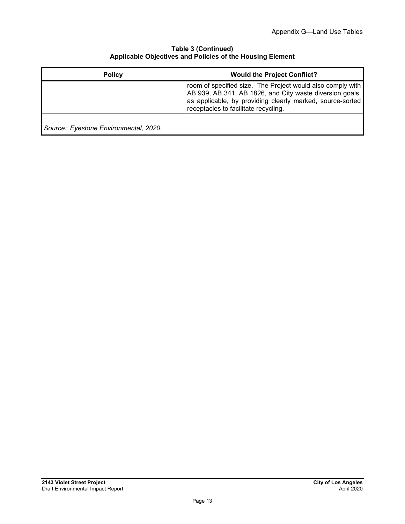#### **Table 3 (Continued) Applicable Objectives and Policies of the Housing Element**

| <b>Policy</b>                         | <b>Would the Project Conflict?</b>                                                                                                                                                                                          |
|---------------------------------------|-----------------------------------------------------------------------------------------------------------------------------------------------------------------------------------------------------------------------------|
|                                       | room of specified size. The Project would also comply with<br>AB 939, AB 341, AB 1826, and City waste diversion goals,<br>as applicable, by providing clearly marked, source-sorted<br>receptacles to facilitate recycling. |
| Source: Eyestone Environmental, 2020. |                                                                                                                                                                                                                             |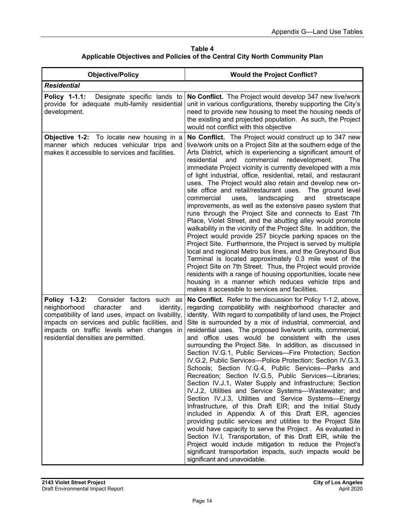**Table 4 Applicable Objectives and Policies of the Central City North Community Plan** 

| <b>Objective/Policy</b>                                                                                                                                                                                                                                                                | <b>Would the Project Conflict?</b>                                                                                                                                                                                                                                                                                                                                                                                                                                                                                                                                                                                                                                                                                                                                                                                                                                                                                                                                                                                                                                                                                                                                                                                                                                                                                                       |
|----------------------------------------------------------------------------------------------------------------------------------------------------------------------------------------------------------------------------------------------------------------------------------------|------------------------------------------------------------------------------------------------------------------------------------------------------------------------------------------------------------------------------------------------------------------------------------------------------------------------------------------------------------------------------------------------------------------------------------------------------------------------------------------------------------------------------------------------------------------------------------------------------------------------------------------------------------------------------------------------------------------------------------------------------------------------------------------------------------------------------------------------------------------------------------------------------------------------------------------------------------------------------------------------------------------------------------------------------------------------------------------------------------------------------------------------------------------------------------------------------------------------------------------------------------------------------------------------------------------------------------------|
| <b>Residential</b>                                                                                                                                                                                                                                                                     |                                                                                                                                                                                                                                                                                                                                                                                                                                                                                                                                                                                                                                                                                                                                                                                                                                                                                                                                                                                                                                                                                                                                                                                                                                                                                                                                          |
| Policy 1-1.1:<br>Designate specific lands to<br>provide for adequate multi-family residential<br>development.                                                                                                                                                                          | No Conflict. The Project would develop 347 new live/work<br>unit in various configurations, thereby supporting the City's<br>need to provide new housing to meet the housing needs of<br>the existing and projected population. As such, the Project<br>would not conflict with this objective                                                                                                                                                                                                                                                                                                                                                                                                                                                                                                                                                                                                                                                                                                                                                                                                                                                                                                                                                                                                                                           |
| Objective 1-2: To locate new housing in a<br>manner which reduces vehicular trips and<br>makes it accessible to services and facilities.                                                                                                                                               | No Conflict. The Project would construct up to 347 new<br>live/work units on a Project Site at the southern edge of the<br>Arts District, which is experiencing a significant amount of<br>commercial<br>residential<br>redevelopment.<br>and<br>The<br>immediate Project vicinity is currently developed with a mix<br>of light industrial, office, residential, retail, and restaurant<br>uses. The Project would also retain and develop new on-<br>site office and retail/restaurant uses. The ground level<br>commercial<br>landscaping<br>and<br>uses,<br>streetscape<br>improvements, as well as the extensive paseo system that<br>runs through the Project Site and connects to East 7th<br>Place, Violet Street, and the abutting alley would promote<br>walkability in the vicinity of the Project Site. In addition, the<br>Project would provide 257 bicycle parking spaces on the<br>Project Site. Furthermore, the Project is served by multiple<br>local and regional Metro bus lines, and the Greyhound Bus<br>Terminal is located approximately 0.3 mile west of the<br>Project Site on 7th Street. Thus, the Project would provide<br>residents with a range of housing opportunities, locate new<br>housing in a manner which reduces vehicle trips and<br>makes it accessible to services and facilities.           |
| Consider factors such as<br>Policy 1-3.2:<br>neighborhood<br>character<br>identity,<br>and<br>compatibility of land uses, impact on livability,<br>impacts on services and public facilities, and<br>impacts on traffic levels when changes in<br>residential densities are permitted. | No Conflict. Refer to the discussion for Policy 1-1.2, above,<br>regarding compatibility with neighborhood character and<br>identity. With regard to compatibility of land uses, the Project<br>Site is surrounded by a mix of industrial, commercial, and<br>residential uses. The proposed live/work units, commercial,<br>and office uses would be consistent with the uses<br>surrounding the Project Site. In addition, as discussed in<br>Section IV.G.1, Public Services-Fire Protection; Section<br>IV.G.2, Public Services-Police Protection; Section IV.G.3,<br>Schools; Section IV.G.4, Public Services-Parks and<br>Recreation; Section IV.G.5, Public Services-Libraries;<br>Section IV.J.1, Water Supply and Infrastructure; Section<br>IV.J.2, Utilities and Service Systems-Wastewater; and<br>Section IV.J.3, Utilities and Service Systems-Energy<br>Infrastructure, of this Draft EIR; and the Initial Study<br>included in Appendix A of this Draft EIR, agencies<br>providing public services and utilities to the Project Site<br>would have capacity to serve the Project. As evaluated in<br>Section IV.I, Transportation, of this Draft EIR, while the<br>Project would include mitigation to reduce the Project's<br>significant transportation impacts, such impacts would be<br>significant and unavoidable. |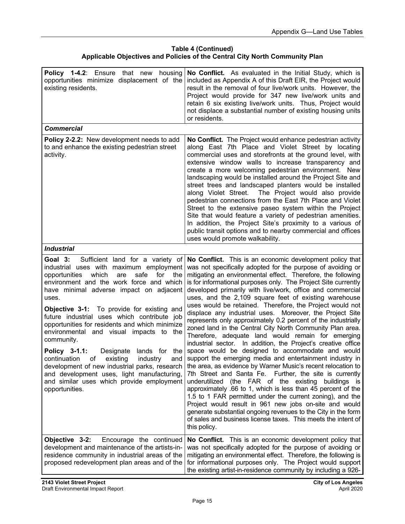#### **Table 4 (Continued) Applicable Objectives and Policies of the Central City North Community Plan**

| <b>Policy 1-4.2:</b> Ensure that new housing<br>opportunities minimize displacement of the<br>existing residents.                                                                                                                                                                                                                                                                                                                                                                                                                                                                                                                                                                                                                 | No Conflict. As evaluated in the Initial Study, which is<br>included as Appendix A of this Draft EIR, the Project would<br>result in the removal of four live/work units. However, the<br>Project would provide for 347 new live/work units and<br>retain 6 six existing live/work units. Thus, Project would<br>not displace a substantial number of existing housing units<br>or residents.                                                                                                                                                                                                                                                                                                                                                                                                                                                                                                                                                                                                                                                                                                                                                                                                                                                                                                                                                                                                              |
|-----------------------------------------------------------------------------------------------------------------------------------------------------------------------------------------------------------------------------------------------------------------------------------------------------------------------------------------------------------------------------------------------------------------------------------------------------------------------------------------------------------------------------------------------------------------------------------------------------------------------------------------------------------------------------------------------------------------------------------|------------------------------------------------------------------------------------------------------------------------------------------------------------------------------------------------------------------------------------------------------------------------------------------------------------------------------------------------------------------------------------------------------------------------------------------------------------------------------------------------------------------------------------------------------------------------------------------------------------------------------------------------------------------------------------------------------------------------------------------------------------------------------------------------------------------------------------------------------------------------------------------------------------------------------------------------------------------------------------------------------------------------------------------------------------------------------------------------------------------------------------------------------------------------------------------------------------------------------------------------------------------------------------------------------------------------------------------------------------------------------------------------------------|
| <b>Commercial</b>                                                                                                                                                                                                                                                                                                                                                                                                                                                                                                                                                                                                                                                                                                                 |                                                                                                                                                                                                                                                                                                                                                                                                                                                                                                                                                                                                                                                                                                                                                                                                                                                                                                                                                                                                                                                                                                                                                                                                                                                                                                                                                                                                            |
| Policy 2-2.2: New development needs to add<br>to and enhance the existing pedestrian street<br>activity.                                                                                                                                                                                                                                                                                                                                                                                                                                                                                                                                                                                                                          | No Conflict. The Project would enhance pedestrian activity<br>along East 7th Place and Violet Street by locating<br>commercial uses and storefronts at the ground level, with<br>extensive window walls to increase transparency and<br>create a more welcoming pedestrian environment. New<br>landscaping would be installed around the Project Site and<br>street trees and landscaped planters would be installed<br>along Violet Street. The Project would also provide<br>pedestrian connections from the East 7th Place and Violet<br>Street to the extensive paseo system within the Project<br>Site that would feature a variety of pedestrian amenities.<br>In addition, the Project Site's proximity to a various of<br>public transit options and to nearby commercial and offices<br>uses would promote walkability.                                                                                                                                                                                                                                                                                                                                                                                                                                                                                                                                                                           |
| <b>Industrial</b>                                                                                                                                                                                                                                                                                                                                                                                                                                                                                                                                                                                                                                                                                                                 |                                                                                                                                                                                                                                                                                                                                                                                                                                                                                                                                                                                                                                                                                                                                                                                                                                                                                                                                                                                                                                                                                                                                                                                                                                                                                                                                                                                                            |
| Sufficient land for a variety of<br>Goal 3:<br>industrial uses with maximum employment<br>opportunities<br>which<br>safe<br>for<br>are<br>the<br>environment and the work force and which<br>have minimal adverse impact on adjacent<br>uses.<br><b>Objective 3-1:</b> To provide for existing and<br>future industrial uses which contribute job<br>opportunities for residents and which minimize<br>environmental and visual impacts to the<br>community.<br>Policy 3-1.1:<br>Designate<br>lands for<br>the<br>continuation<br>existing<br>industry<br>of<br>and<br>development of new industrial parks, research<br>and development uses, light manufacturing,<br>and similar uses which provide employment<br>opportunities. | No Conflict. This is an economic development policy that<br>was not specifically adopted for the purpose of avoiding or<br>mitigating an environmental effect. Therefore, the following<br>is for informational purposes only. The Project Site currently<br>developed primarily with live/work, office and commercial<br>uses, and the 2,109 square feet of existing warehouse<br>uses would be retained. Therefore, the Project would not<br>displace any industrial uses. Moreover, the Project Site<br>represents only approximately 0.2 percent of the industrially<br>zoned land in the Central City North Community Plan area.<br>Therefore, adequate land would remain for emerging<br>industrial sector. In addition, the Project's creative office<br>space would be designed to accommodate and would<br>support the emerging media and entertainment industry in<br>the area, as evidence by Warner Music's recent relocation to<br>7th Street and Santa Fe. Further, the site is currently<br>underutilized (the FAR of the existing<br>buildings is<br>approximately .66 to 1, which is less than 45 percent of the<br>1.5 to 1 FAR permitted under the current zoning), and the<br>Project would result in 961 new jobs on-site and would<br>generate substantial ongoing revenues to the City in the form<br>of sales and business license taxes. This meets the intent of<br>this policy. |
| Objective 3-2:<br>Encourage the continued<br>development and maintenance of the artists-in-<br>residence community in industrial areas of the<br>proposed redevelopment plan areas and of the                                                                                                                                                                                                                                                                                                                                                                                                                                                                                                                                     | <b>No Conflict.</b> This is an economic development policy that<br>was not specifically adopted for the purpose of avoiding or<br>mitigating an environmental effect. Therefore, the following is<br>for informational purposes only. The Project would support<br>the existing artist-in-residence community by including a 926-                                                                                                                                                                                                                                                                                                                                                                                                                                                                                                                                                                                                                                                                                                                                                                                                                                                                                                                                                                                                                                                                          |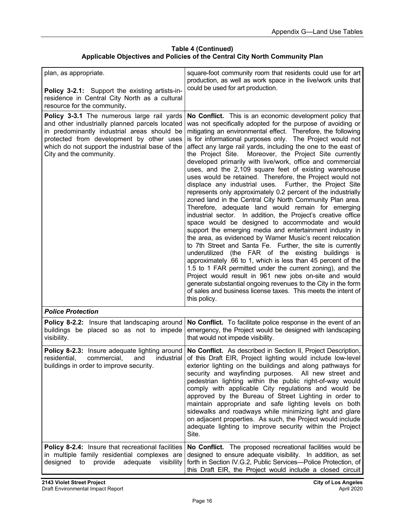# **Table 4 (Continued) Applicable Objectives and Policies of the Central City North Community Plan**

| plan, as appropriate.<br>Policy 3-2.1: Support the existing artists-in-<br>residence in Central City North as a cultural<br>resource for the community.                                                                                                               | square-foot community room that residents could use for art<br>production, as well as work space in the live/work units that<br>could be used for art production.                                                                                                                                                                                                                                                                                                                                                                                                                                                                                                                                                                                                                                                                                                                                                                                                                                                                                                                                                                                                                                                                                                                                                                                                                                                                                                                                                             |
|-----------------------------------------------------------------------------------------------------------------------------------------------------------------------------------------------------------------------------------------------------------------------|-------------------------------------------------------------------------------------------------------------------------------------------------------------------------------------------------------------------------------------------------------------------------------------------------------------------------------------------------------------------------------------------------------------------------------------------------------------------------------------------------------------------------------------------------------------------------------------------------------------------------------------------------------------------------------------------------------------------------------------------------------------------------------------------------------------------------------------------------------------------------------------------------------------------------------------------------------------------------------------------------------------------------------------------------------------------------------------------------------------------------------------------------------------------------------------------------------------------------------------------------------------------------------------------------------------------------------------------------------------------------------------------------------------------------------------------------------------------------------------------------------------------------------|
| Policy 3-3.1 The numerous large rail yards<br>and other industrially planned parcels located<br>in predominantly industrial areas should be<br>protected from development by other uses<br>which do not support the industrial base of the<br>City and the community. | No Conflict. This is an economic development policy that<br>was not specifically adopted for the purpose of avoiding or<br>mitigating an environmental effect. Therefore, the following<br>is for informational purposes only. The Project would not<br>affect any large rail yards, including the one to the east of<br>the Project Site. Moreover, the Project Site currently<br>developed primarily with live/work, office and commercial<br>uses, and the 2,109 square feet of existing warehouse<br>uses would be retained. Therefore, the Project would not<br>displace any industrial uses. Further, the Project Site<br>represents only approximately 0.2 percent of the industrially<br>zoned land in the Central City North Community Plan area.<br>Therefore, adequate land would remain for emerging<br>industrial sector. In addition, the Project's creative office<br>space would be designed to accommodate and would<br>support the emerging media and entertainment industry in<br>the area, as evidenced by Warner Music's recent relocation<br>to 7th Street and Santa Fe. Further, the site is currently<br>underutilized (the FAR of the existing buildings is<br>approximately .66 to 1, which is less than 45 percent of the<br>1.5 to 1 FAR permitted under the current zoning), and the<br>Project would result in 961 new jobs on-site and would<br>generate substantial ongoing revenues to the City in the form<br>of sales and business license taxes. This meets the intent of<br>this policy. |
| <b>Police Protection</b>                                                                                                                                                                                                                                              |                                                                                                                                                                                                                                                                                                                                                                                                                                                                                                                                                                                                                                                                                                                                                                                                                                                                                                                                                                                                                                                                                                                                                                                                                                                                                                                                                                                                                                                                                                                               |
| Policy 8-2.2: Insure that landscaping around<br>buildings be placed so as not to impede<br>visibility.                                                                                                                                                                | No Conflict. To facilitate police response in the event of an<br>emergency, the Project would be designed with landscaping<br>that would not impede visibility.                                                                                                                                                                                                                                                                                                                                                                                                                                                                                                                                                                                                                                                                                                                                                                                                                                                                                                                                                                                                                                                                                                                                                                                                                                                                                                                                                               |
| Policy 8-2.3: Insure adequate lighting around<br>residential,<br>industrial<br>commercial.<br>and<br>buildings in order to improve security.                                                                                                                          | No Conflict. As described in Section II, Project Description,<br>of this Draft EIR, Project lighting would include low-level<br>exterior lighting on the buildings and along pathways for<br>security and wayfinding purposes. All new street and<br>pedestrian lighting within the public right-of-way would<br>comply with applicable City regulations and would be<br>approved by the Bureau of Street Lighting in order to<br>maintain appropriate and safe lighting levels on both<br>sidewalks and roadways while minimizing light and glare<br>on adjacent properties. As such, the Project would include<br>adequate lighting to improve security within the Project<br>Site.                                                                                                                                                                                                                                                                                                                                                                                                                                                                                                                                                                                                                                                                                                                                                                                                                                         |
| Policy 8-2.4: Insure that recreational facilities<br>in multiple family residential complexes are<br>designed<br>provide<br>adequate<br>visibility<br>to                                                                                                              | No Conflict. The proposed recreational facilities would be<br>designed to ensure adequate visibility. In addition, as set<br>forth in Section IV.G.2, Public Services-Police Protection, of<br>this Draft EIR, the Project would include a closed circuit                                                                                                                                                                                                                                                                                                                                                                                                                                                                                                                                                                                                                                                                                                                                                                                                                                                                                                                                                                                                                                                                                                                                                                                                                                                                     |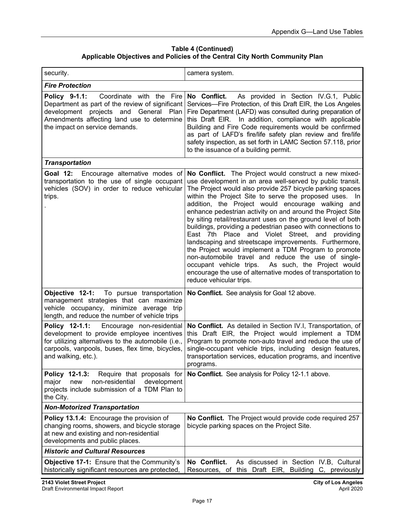**Table 4 (Continued) Applicable Objectives and Policies of the Central City North Community Plan** 

| security.                                                                                                                                                                                                                  | camera system.                                                                                                                                                                                                                                                                                                                                                                                                                                                                                                                                                                                                                                                                                                                                                                                                                                                             |
|----------------------------------------------------------------------------------------------------------------------------------------------------------------------------------------------------------------------------|----------------------------------------------------------------------------------------------------------------------------------------------------------------------------------------------------------------------------------------------------------------------------------------------------------------------------------------------------------------------------------------------------------------------------------------------------------------------------------------------------------------------------------------------------------------------------------------------------------------------------------------------------------------------------------------------------------------------------------------------------------------------------------------------------------------------------------------------------------------------------|
| <b>Fire Protection</b>                                                                                                                                                                                                     |                                                                                                                                                                                                                                                                                                                                                                                                                                                                                                                                                                                                                                                                                                                                                                                                                                                                            |
| Policy 9-1.1:<br>Coordinate with the Fire<br>Department as part of the review of significant<br>development projects and General Plan<br>Amendments affecting land use to determine<br>the impact on service demands.      | No Conflict. As provided in Section IV.G.1, Public<br>Services-Fire Protection, of this Draft EIR, the Los Angeles<br>Fire Department (LAFD) was consulted during preparation of<br>this Draft EIR. In addition, compliance with applicable<br>Building and Fire Code requirements would be confirmed<br>as part of LAFD's fire/life safety plan review and fire/life<br>safety inspection, as set forth in LAMC Section 57.118, prior<br>to the issuance of a building permit.                                                                                                                                                                                                                                                                                                                                                                                            |
| <b>Transportation</b>                                                                                                                                                                                                      |                                                                                                                                                                                                                                                                                                                                                                                                                                                                                                                                                                                                                                                                                                                                                                                                                                                                            |
| Encourage alternative modes of<br>Goal 12:<br>transportation to the use of single occupant<br>vehicles (SOV) in order to reduce vehicular<br>trips.                                                                        | No Conflict. The Project would construct a new mixed-<br>use development in an area well-served by public transit.<br>The Project would also provide 257 bicycle parking spaces<br>within the Project Site to serve the proposed uses. In<br>addition, the Project would encourage walking and<br>enhance pedestrian activity on and around the Project Site<br>by siting retail/restaurant uses on the ground level of both<br>buildings, providing a pedestrian paseo with connections to<br>East 7th Place and Violet Street, and<br>providing<br>landscaping and streetscape improvements. Furthermore,<br>the Project would implement a TDM Program to promote<br>non-automobile travel and reduce the use of single-<br>occupant vehicle trips. As such, the Project would<br>encourage the use of alternative modes of transportation to<br>reduce vehicular trips. |
| Objective 12-1:<br>To pursue transportation<br>management strategies that can maximize<br>vehicle occupancy, minimize average trip<br>length, and reduce the number of vehicle trips                                       | No Conflict. See analysis for Goal 12 above.                                                                                                                                                                                                                                                                                                                                                                                                                                                                                                                                                                                                                                                                                                                                                                                                                               |
| Policy 12-1.1:<br>Encourage non-residential<br>development to provide employee incentives<br>for utilizing alternatives to the automobile (i.e.,<br>carpools, vanpools, buses, flex time, bicycles,<br>and walking, etc.). | No Conflict. As detailed in Section IV.I, Transportation, of<br>this Draft EIR, the Project would implement a TDM<br>Program to promote non-auto travel and reduce the use of<br>single-occupant vehicle trips, including design features,<br>transportation services, education programs, and incentive<br>programs.                                                                                                                                                                                                                                                                                                                                                                                                                                                                                                                                                      |
| Policy 12-1.3:<br>Require that proposals for<br>non-residential<br>development<br>major<br>new<br>projects include submission of a TDM Plan to<br>the City.                                                                | No Conflict. See analysis for Policy 12-1.1 above.                                                                                                                                                                                                                                                                                                                                                                                                                                                                                                                                                                                                                                                                                                                                                                                                                         |
| <b>Non-Motorized Transportation</b>                                                                                                                                                                                        |                                                                                                                                                                                                                                                                                                                                                                                                                                                                                                                                                                                                                                                                                                                                                                                                                                                                            |
| Policy 13.1.4: Encourage the provision of<br>changing rooms, showers, and bicycle storage<br>at new and existing and non-residential<br>developments and public places.                                                    | No Conflict. The Project would provide code required 257<br>bicycle parking spaces on the Project Site.                                                                                                                                                                                                                                                                                                                                                                                                                                                                                                                                                                                                                                                                                                                                                                    |
| <b>Historic and Cultural Resources</b>                                                                                                                                                                                     |                                                                                                                                                                                                                                                                                                                                                                                                                                                                                                                                                                                                                                                                                                                                                                                                                                                                            |
| <b>Objective 17-1:</b> Ensure that the Community's<br>historically significant resources are protected,                                                                                                                    | No Conflict.<br>As discussed in Section IV.B, Cultural<br>Resources, of this Draft EIR, Building C, previously                                                                                                                                                                                                                                                                                                                                                                                                                                                                                                                                                                                                                                                                                                                                                             |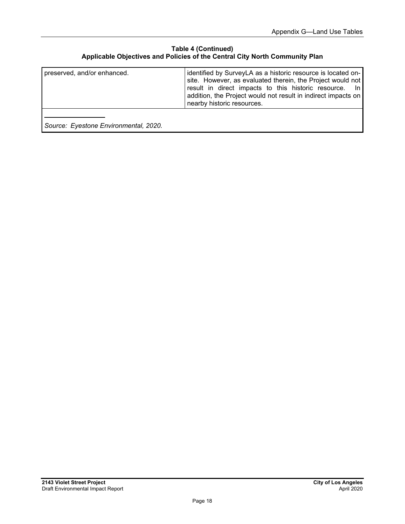#### **Table 4 (Continued) Applicable Objectives and Policies of the Central City North Community Plan**

| preserved, and/or enhanced.           | identified by SurveyLA as a historic resource is located on-<br>site. However, as evaluated therein, the Project would not<br>result in direct impacts to this historic resource. In<br>addition, the Project would not result in indirect impacts on<br>nearby historic resources. |
|---------------------------------------|-------------------------------------------------------------------------------------------------------------------------------------------------------------------------------------------------------------------------------------------------------------------------------------|
| Source: Eyestone Environmental, 2020. |                                                                                                                                                                                                                                                                                     |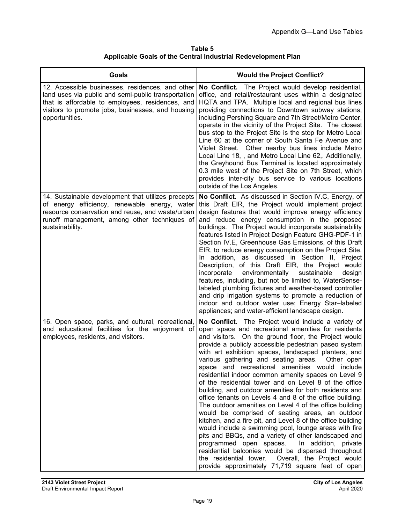| Table 5                                                       |  |  |
|---------------------------------------------------------------|--|--|
| Applicable Goals of the Central Industrial Redevelopment Plan |  |  |

| <b>Goals</b>                                                                                                                                                                                                                       | <b>Would the Project Conflict?</b>                                                                                                                                                                                                                                                                                                                                                                                                                                                                                                                                                                                                                                                                                                                                                                                                                                                                                                                                                                                                                                                                                                           |
|------------------------------------------------------------------------------------------------------------------------------------------------------------------------------------------------------------------------------------|----------------------------------------------------------------------------------------------------------------------------------------------------------------------------------------------------------------------------------------------------------------------------------------------------------------------------------------------------------------------------------------------------------------------------------------------------------------------------------------------------------------------------------------------------------------------------------------------------------------------------------------------------------------------------------------------------------------------------------------------------------------------------------------------------------------------------------------------------------------------------------------------------------------------------------------------------------------------------------------------------------------------------------------------------------------------------------------------------------------------------------------------|
| 12. Accessible businesses, residences, and other<br>land uses via public and semi-public transportation<br>that is affordable to employees, residences, and<br>visitors to promote jobs, businesses, and housing<br>opportunities. | No Conflict. The Project would develop residential,<br>office, and retail/restaurant uses within a designated<br>HQTA and TPA. Multiple local and regional bus lines<br>providing connections to Downtown subway stations,<br>including Pershing Square and 7th Street/Metro Center,<br>operate in the vicinity of the Project Site. The closest<br>bus stop to the Project Site is the stop for Metro Local<br>Line 60 at the corner of South Santa Fe Avenue and<br>Violet Street. Other nearby bus lines include Metro<br>Local Line 18, , and Metro Local Line 62,. Additionally,<br>the Greyhound Bus Terminal is located approximately<br>0.3 mile west of the Project Site on 7th Street, which<br>provides inter-city bus service to various locations<br>outside of the Los Angeles.                                                                                                                                                                                                                                                                                                                                                |
| 14. Sustainable development that utilizes precepts<br>of energy efficiency, renewable energy, water<br>resource conservation and reuse, and waste/urban<br>runoff management, among other techniques of<br>sustainability.         | No Conflict. As discussed in Section IV.C, Energy, of<br>this Draft EIR, the Project would implement project<br>design features that would improve energy efficiency<br>and reduce energy consumption in the proposed<br>buildings. The Project would incorporate sustainability<br>features listed in Project Design Feature GHG-PDF-1 in<br>Section IV.E, Greenhouse Gas Emissions, of this Draft<br>EIR, to reduce energy consumption on the Project Site.<br>In addition, as discussed in Section II, Project<br>Description, of this Draft EIR, the Project would<br>incorporate<br>environmentally<br>sustainable<br>design<br>features, including, but not be limited to, WaterSense-<br>labeled plumbing fixtures and weather-based controller<br>and drip irrigation systems to promote a reduction of<br>indoor and outdoor water use; Energy Star-labeled<br>appliances; and water-efficient landscape design.                                                                                                                                                                                                                    |
| 16. Open space, parks, and cultural, recreational,<br>and educational facilities for the enjoyment of<br>employees, residents, and visitors.                                                                                       | No Conflict. The Project would include a variety of<br>open space and recreational amenities for residents<br>and visitors. On the ground floor, the Project would<br>provide a publicly accessible pedestrian paseo system<br>with art exhibition spaces, landscaped planters, and<br>various gathering and seating areas. Other open<br>space and recreational amenities would include<br>residential indoor common amenity spaces on Level 9<br>of the residential tower and on Level 8 of the office<br>building, and outdoor amenities for both residents and<br>office tenants on Levels 4 and 8 of the office building.<br>The outdoor amenities on Level 4 of the office building<br>would be comprised of seating areas, an outdoor<br>kitchen, and a fire pit, and Level 8 of the office building<br>would include a swimming pool, lounge areas with fire<br>pits and BBQs, and a variety of other landscaped and<br>programmed open spaces. In addition, private<br>residential balconies would be dispersed throughout<br>the residential tower. Overall, the Project would<br>provide approximately 71,719 square feet of open |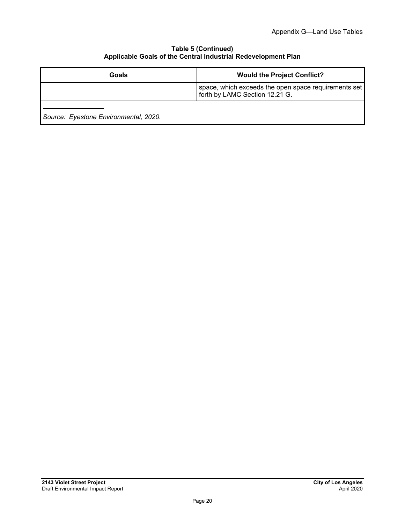#### **Table 5 (Continued) Applicable Goals of the Central Industrial Redevelopment Plan**

| Goals                                 | <b>Would the Project Conflict?</b>                                                     |
|---------------------------------------|----------------------------------------------------------------------------------------|
|                                       | space, which exceeds the open space requirements set<br>forth by LAMC Section 12.21 G. |
| Source: Eyestone Environmental, 2020. |                                                                                        |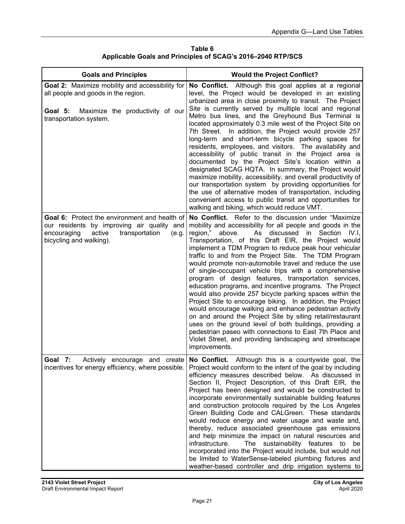| Table 6                                                     |
|-------------------------------------------------------------|
| Applicable Goals and Principles of SCAG's 2016–2040 RTP/SCS |

| <b>Goals and Principles</b>                                                                                                                                                       | <b>Would the Project Conflict?</b>                                                                                                                                                                                                                                                                                                                                                                                                                                                                                                                                                                                                                                                                                                                                                                                                                                                                                                                                                                                                                  |
|-----------------------------------------------------------------------------------------------------------------------------------------------------------------------------------|-----------------------------------------------------------------------------------------------------------------------------------------------------------------------------------------------------------------------------------------------------------------------------------------------------------------------------------------------------------------------------------------------------------------------------------------------------------------------------------------------------------------------------------------------------------------------------------------------------------------------------------------------------------------------------------------------------------------------------------------------------------------------------------------------------------------------------------------------------------------------------------------------------------------------------------------------------------------------------------------------------------------------------------------------------|
| Goal 2: Maximize mobility and accessibility for<br>all people and goods in the region.<br>Goal 5:<br>Maximize the productivity of our<br>transportation system.                   | No Conflict. Although this goal applies at a regional<br>level, the Project would be developed in an existing<br>urbanized area in close proximity to transit. The Project<br>Site is currently served by multiple local and regional<br>Metro bus lines, and the Greyhound Bus Terminal is<br>located approximately 0.3 mile west of the Project Site on<br>7th Street. In addition, the Project would provide 257<br>long-term and short-term bicycle parking spaces for<br>residents, employees, and visitors. The availability and<br>accessibility of public transit in the Project area is<br>documented by the Project Site's location within a<br>designated SCAG HQTA. In summary, the Project would<br>maximize mobility, accessibility, and overall productivity of<br>our transportation system by providing opportunities for<br>the use of alternative modes of transportation, including<br>convenient access to public transit and opportunities for<br>walking and biking, which would reduce VMT.                                 |
| <b>Goal 6:</b> Protect the environment and health of<br>our residents by improving air quality and<br>encouraging<br>active<br>transportation<br>(e.g.<br>bicycling and walking). | No Conflict. Refer to the discussion under "Maximize"<br>mobility and accessibility for all people and goods in the<br>region," above.<br>As<br>discussed in Section<br>IV.I.<br>Transportation, of this Draft EIR, the Project would<br>implement a TDM Program to reduce peak hour vehicular<br>traffic to and from the Project Site. The TDM Program<br>would promote non-automobile travel and reduce the use<br>of single-occupant vehicle trips with a comprehensive<br>program of design features, transportation services,<br>education programs, and incentive programs. The Project<br>would also provide 257 bicycle parking spaces within the<br>Project Site to encourage biking. In addition, the Project<br>would encourage walking and enhance pedestrian activity<br>on and around the Project Site by siting retail/restaurant<br>uses on the ground level of both buildings, providing a<br>pedestrian paseo with connections to East 7th Place and<br>Violet Street, and providing landscaping and streetscape<br>improvements. |
| - 7:<br>Goal<br>Actively encourage and<br>incentives for energy efficiency, where possible.                                                                                       | create   No Conflict.<br>Although this is a countywide goal, the<br>Project would conform to the intent of the goal by including<br>efficiency measures described below. As discussed in<br>Section II, Project Description, of this Draft EIR, the<br>Project has been designed and would be constructed to<br>incorporate environmentally sustainable building features<br>and construction protocols required by the Los Angeles<br>Green Building Code and CALGreen. These standards<br>would reduce energy and water usage and waste and,<br>thereby, reduce associated greenhouse gas emissions<br>and help minimize the impact on natural resources and<br>The sustainability features to<br>infrastructure.<br>be<br>incorporated into the Project would include, but would not<br>be limited to WaterSense-labeled plumbing fixtures and<br>weather-based controller and drip irrigation systems to                                                                                                                                        |